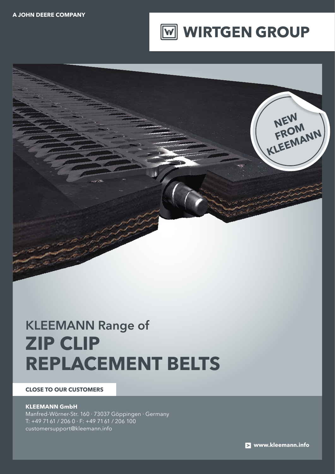



# KLEEMANN Range of **ZIP CLIP REPLACEMENT BELTS**

#### **CLOSE TO OUR CUSTOMERS**

#### **KLEEMANN GmbH**

Manfred-Wörner-Str. 160 · 73037 Göppingen · Germany T: +49 7161 / 206 0 · F: +49 7161 / 206 100 customersupport@kleemann.info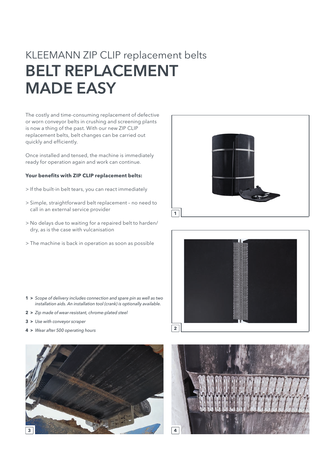### KLEEMANN ZIP CLIP replacement belts BELT REPLACEMENT MADE EASY

The costly and time-consuming replacement of defective or worn conveyor belts in crushing and screening plants is now a thing of the past. With our new ZIP CLIP replacement belts, belt changes can be carried out quickly and efficiently.

Once installed and tensed, the machine is immediately ready for operation again and work can continue.

#### **Your benefits with ZIP CLIP replacement belts:**

- > If the built-in belt tears, you can react immediately
- > Simple, straightforward belt replacement no need to call in an external service provider
- > No delays due to waiting for a repaired belt to harden/ dry, as is the case with vulcanisation
- > The machine is back in operation as soon as possible



- **3 >** *Use with conveyor scraper*
- **4 >** *Wear after 500 operating hours*







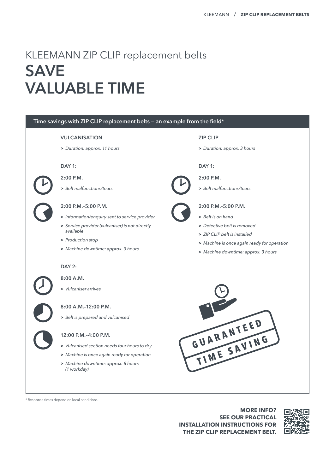## KLEEMANN ZIP CLIP replacement belts **SAVE** VALUABLE TIME



\* Response times depend on local conditions

**MORE INFO? SEE OUR PRACTICAL INSTALLATION INSTRUCTIONS FOR THE ZIP CLIP REPLACEMENT BELT.**